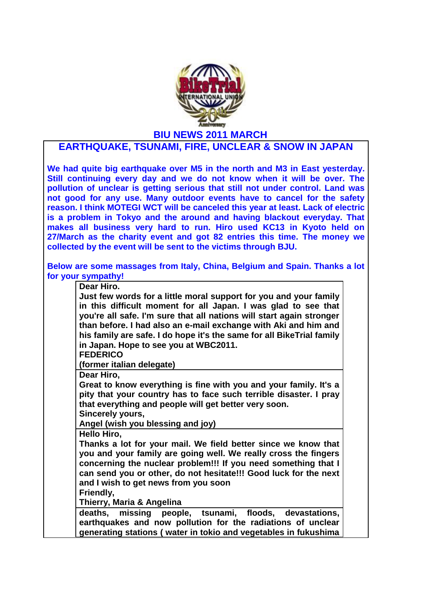

**EARTHQUAKE, TSUNAMI, FIRE, UNCLEAR & SNOW IN JAPAN**

**We had quite big earthquake over M5 in the north and M3 in East yesterday. Still continuing every day and we do not know when it will be over. The pollution of unclear is getting serious that still not under control. Land was not good for any use. Many outdoor events have to cancel for the safety reason. I think MOTEGI WCT will be canceled this year at least. Lack of electric is a problem in Tokyo and the around and having blackout everyday. That makes all business very hard to run. Hiro used KC13 in Kyoto held on 27/March as the charity event and got 82 entries this time. The money we collected by the event will be sent to the victims through BJU.**

**Below are some massages from Italy, China, Belgium and Spain. Thanks a lot for your sympathy!**

**Dear Hiro.**

**Just few words for a little moral support for you and your family in this difficult moment for all Japan. I was glad to see that you're all safe. I'm sure that all nations will start again stronger than before. I had also an e-mail exchange with Aki and him and his family are safe. I do hope it's the same for all BikeTrial family in Japan. Hope to see you at WBC2011.**

**FEDERICO**

**(former italian delegate)**

**Dear Hiro,**

**Great to know everything is fine with you and your family. It's a pity that your country has to face such terrible disaster. I pray that everything and people will get better very soon.** 

**Sincerely yours,**

**Angel (wish you blessing and joy)**

**Hello Hiro,**

**Thanks a lot for your mail. We field better since we know that you and your family are going well. We really cross the fingers concerning the nuclear problem!!! If you need something that I can send you or other, do not hesitate!!! Good luck for the next and I wish to get news from you soon**

**Friendly,**

**Thierry, Maria & Angelina**

**deaths, missing people, tsunami, floods, devastations, earthquakes and now pollution for the radiations of unclear generating stations ( water in tokio and vegetables in fukushima**